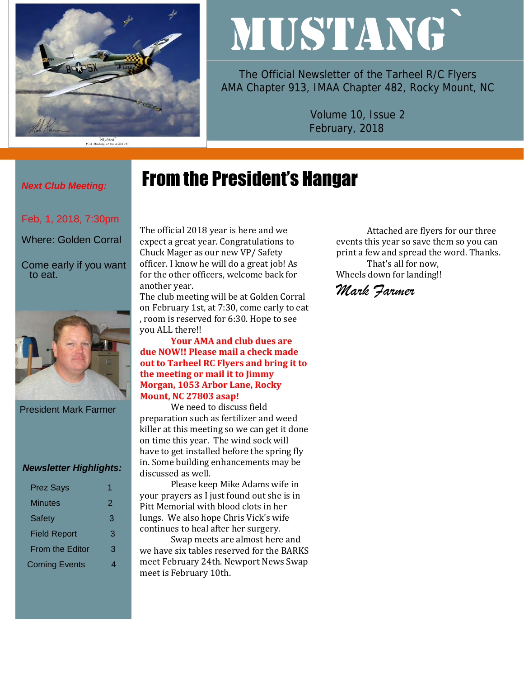

"Slybird"<br>P-51 Mustang of the 353rd FG

# MUSTANG`

The Official Newsletter of the Tarheel R/C Flyers AMA Chapter 913, IMAA Chapter 482, Rocky Mount, NC

> Volume 10, Issue 2 February, 2018

# From the President's Hangar

## *Next Club Meeting:*

Feb, 1, 2018, 7:30pm

Where: Golden Corral

Come early if you want to eat.



President Mark Farmer

#### *Newsletter Highlights:*

| <b>Prez Says</b>       |   |
|------------------------|---|
| Minutes                | 2 |
| <b>Safety</b>          | З |
| <b>Field Report</b>    | 3 |
| <b>From the Editor</b> | З |
| <b>Coming Events</b>   |   |

The official 2018 year is here and we expect a great year. Congratulations to Chuck Mager as our new VP/ Safety officer. I know he will do a great job! As for the other officers, welcome back for another year.

The club meeting will be at Golden Corral on February 1st, at 7:30, come early to eat , room is reserved for 6:30. Hope to see you ALL there!!

**Your AMA and club dues are due NOW!! Please mail a check made out to Tarheel RC Flyers and bring it to the meeting or mail it to Jimmy Morgan, 1053 Arbor Lane, Rocky Mount, NC 27803 asap!** 

We need to discuss field preparation such as fertilizer and weed killer at this meeting so we can get it done on time this year. The wind sock will have to get installed before the spring fly in. Some building enhancements may be discussed as well.

Please keep Mike Adams wife in your prayers as I just found out she is in Pitt Memorial with blood clots in her lungs. We also hope Chris Vick's wife continues to heal after her surgery.

Swap meets are almost here and we have six tables reserved for the BARKS meet February 24th. Newport News Swap meet is February 10th.

Attached are flyers for our three events this year so save them so you can print a few and spread the word. Thanks. That's all for now, Wheels down for landing!!

#### *Mark Farmer*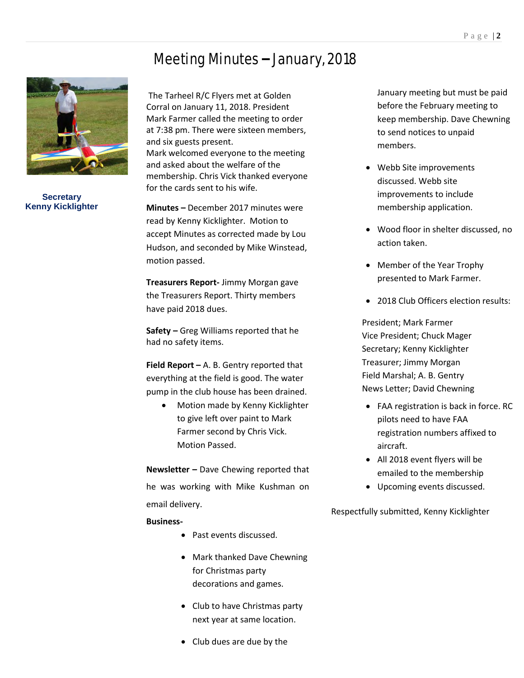#### Meeting Minutes – January, 2018



**Secretary Kenny Kicklighter**

The Tarheel R/C Flyers met at Golden Corral on January 11, 2018. President Mark Farmer called the meeting to order at 7:38 pm. There were sixteen members, and six guests present. Mark welcomed everyone to the meeting and asked about the welfare of the membership. Chris Vick thanked everyone for the cards sent to his wife.

**Minutes –** December 2017 minutes were read by Kenny Kicklighter. Motion to accept Minutes as corrected made by Lou Hudson, and seconded by Mike Winstead, motion passed.

**Treasurers Report-** Jimmy Morgan gave the Treasurers Report. Thirty members have paid 2018 dues.

**Safety –** Greg Williams reported that he had no safety items.

**Field Report –** A. B. Gentry reported that everything at the field is good. The water pump in the club house has been drained.

> • Motion made by Kenny Kicklighter to give left over paint to Mark Farmer second by Chris Vick. Motion Passed.

**Newsletter –** Dave Chewing reported that he was working with Mike Kushman on email delivery.

#### **Business-**

- Past events discussed.
- Mark thanked Dave Chewning for Christmas party decorations and games.
- Club to have Christmas party next year at same location.
- Club dues are due by the

January meeting but must be paid before the February meeting to keep membership. Dave Chewning to send notices to unpaid members.

- Webb Site improvements discussed. Webb site improvements to include membership application.
- Wood floor in shelter discussed, no action taken.
- Member of the Year Trophy presented to Mark Farmer.
- 2018 Club Officers election results:

President; Mark Farmer Vice President; Chuck Mager Secretary; Kenny Kicklighter Treasurer; Jimmy Morgan Field Marshal; A. B. Gentry News Letter; David Chewning

- FAA registration is back in force. RC pilots need to have FAA registration numbers affixed to aircraft.
- All 2018 event flyers will be emailed to the membership
- Upcoming events discussed.

Respectfully submitted, Kenny Kicklighter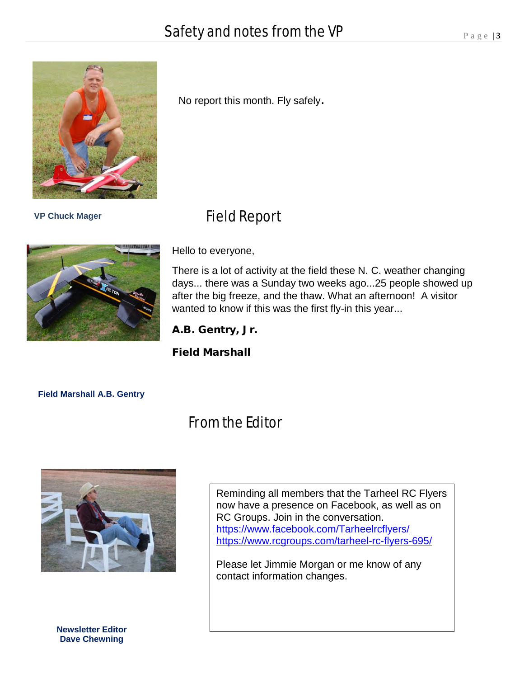No report this month. Fly safely.

## Field Report



 **VP Chuck Mager**

Hello to everyone,

There is a lot of activity at the field these N. C. weather changing days... there was a Sunday two weeks ago...25 people showed up after the big freeze, and the thaw. What an afternoon! A visitor wanted to know if this was the first fly-in this year...

A.B. Gentry, Jr.

Field Marshall

**Field Marshall A.B. Gentry**

## From the Editor



Reminding all members that the Tarheel RC Flyers now have a presence on Facebook, as well as on RC Groups. Join in the conversation. <https://www.facebook.com/Tarheelrcflyers/> <https://www.rcgroups.com/tarheel-rc-flyers-695/>

Please let Jimmie Morgan or me know of any contact information changes.

**Newsletter Editor Dave Chewning**